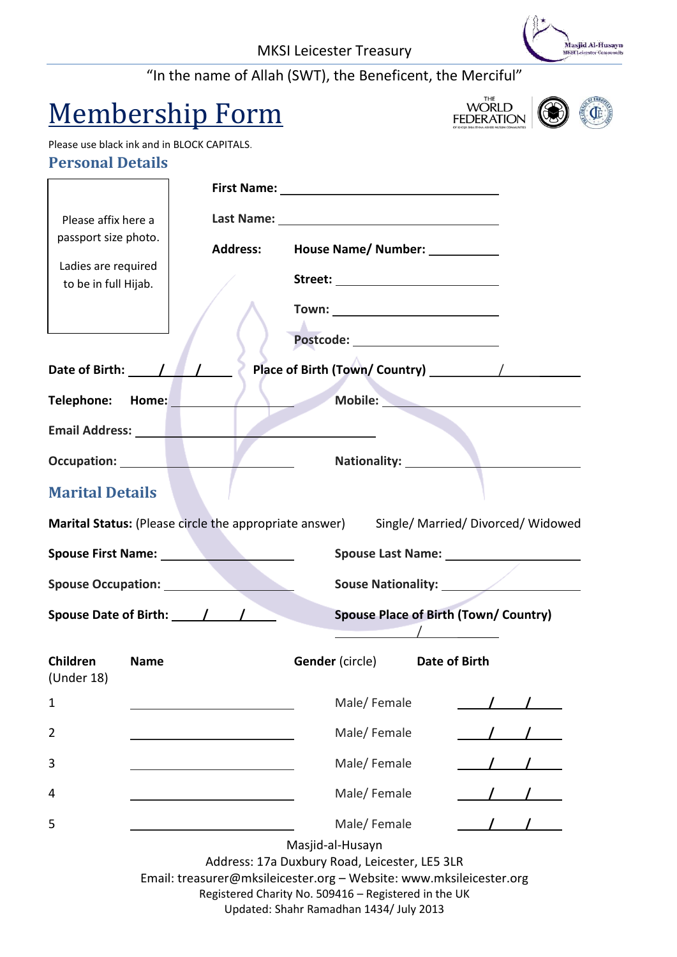Masjid Al-Husayn **IKSI Leicester Com** 

## "In the name of Allah (SWT), the Beneficent, the Merciful"

## Membership Form

**WORLD<br>FEDERATION** 



## Please use black ink and in BLOCK CAPITALS.

## **Personal Details**

| Please affix here a                         |                     |                                                                                                                      |                  |                                              |                                                                                                                                                                                                                                |  |  |  |
|---------------------------------------------|---------------------|----------------------------------------------------------------------------------------------------------------------|------------------|----------------------------------------------|--------------------------------------------------------------------------------------------------------------------------------------------------------------------------------------------------------------------------------|--|--|--|
| passport size photo.                        |                     | <b>Address:</b><br>House Name/ Number: ___________                                                                   |                  |                                              |                                                                                                                                                                                                                                |  |  |  |
| Ladies are required<br>to be in full Hijab. |                     |                                                                                                                      |                  |                                              |                                                                                                                                                                                                                                |  |  |  |
|                                             |                     |                                                                                                                      |                  |                                              |                                                                                                                                                                                                                                |  |  |  |
|                                             |                     |                                                                                                                      |                  |                                              | Postcode: ______________________                                                                                                                                                                                               |  |  |  |
| Date of Birth: 11                           |                     |                                                                                                                      |                  |                                              |                                                                                                                                                                                                                                |  |  |  |
| Telephone: Home:                            |                     |                                                                                                                      |                  |                                              | Mobile: New York Product of the Mobile Service of the Mobile Service of the Mobile Service of the Mobile Service of the Mobile Service of the Mobile Service of the Mobile Service of the Mobile Service of the Mobile Service |  |  |  |
| Email Address: No. 1994                     |                     |                                                                                                                      |                  |                                              |                                                                                                                                                                                                                                |  |  |  |
|                                             |                     |                                                                                                                      |                  |                                              |                                                                                                                                                                                                                                |  |  |  |
|                                             | <b>Nationality:</b> |                                                                                                                      |                  |                                              |                                                                                                                                                                                                                                |  |  |  |
| <b>Marital Details</b>                      |                     |                                                                                                                      |                  |                                              |                                                                                                                                                                                                                                |  |  |  |
|                                             |                     | Marital Status: (Please circle the appropriate answer) Single/Married/Divorced/Widowed                               |                  |                                              |                                                                                                                                                                                                                                |  |  |  |
|                                             |                     | Spouse First Name: _________________________                                                                         |                  |                                              |                                                                                                                                                                                                                                |  |  |  |
| Spouse Occupation: New York New York 1999   |                     |                                                                                                                      |                  | Souse Nationality: <u>Alexander Accounts</u> |                                                                                                                                                                                                                                |  |  |  |
|                                             |                     |                                                                                                                      |                  | $\overline{\phantom{a}}$                     | <b>Spouse Place of Birth (Town/ Country)</b>                                                                                                                                                                                   |  |  |  |
| <b>Children</b><br>(Under 18)               | <b>Name</b>         |                                                                                                                      |                  |                                              | <b>Gender (circle)</b> Date of Birth                                                                                                                                                                                           |  |  |  |
| $\mathbf{1}$                                |                     |                                                                                                                      |                  | Male/Female                                  |                                                                                                                                                                                                                                |  |  |  |
| $\overline{2}$                              |                     |                                                                                                                      |                  | Male/Female                                  |                                                                                                                                                                                                                                |  |  |  |
| 3                                           |                     |                                                                                                                      |                  | Male/Female                                  |                                                                                                                                                                                                                                |  |  |  |
| 4                                           |                     |                                                                                                                      |                  | Male/Female                                  |                                                                                                                                                                                                                                |  |  |  |
| 5                                           |                     |                                                                                                                      |                  | Male/Female                                  |                                                                                                                                                                                                                                |  |  |  |
|                                             |                     |                                                                                                                      | Masjid-al-Husayn |                                              |                                                                                                                                                                                                                                |  |  |  |
|                                             |                     | Address: 17a Duxbury Road, Leicester, LE5 3LR<br>Email: treasurer@mksileicester.org - Website: www.mksileicester.org |                  |                                              |                                                                                                                                                                                                                                |  |  |  |
|                                             |                     | Registered Charity No. 509416 - Registered in the UK                                                                 |                  |                                              |                                                                                                                                                                                                                                |  |  |  |

Updated: Shahr Ramadhan 1434/ July 2013